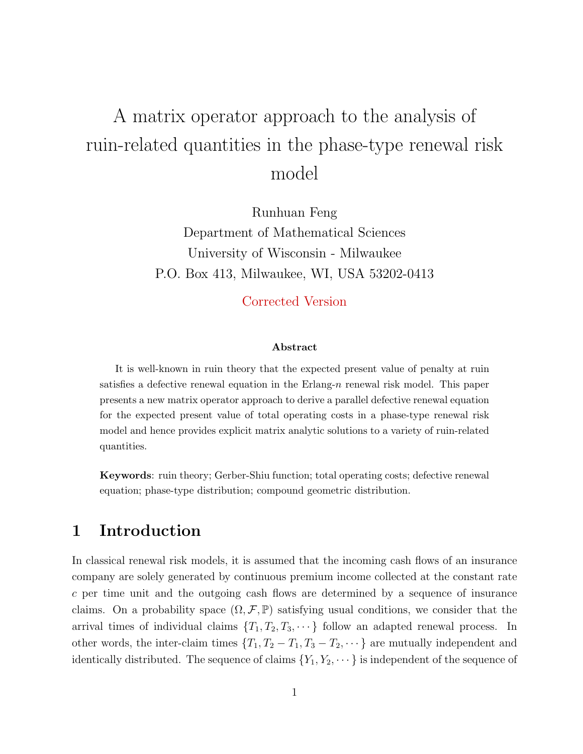# A matrix operator approach to the analysis of ruin-related quantities in the phase-type renewal risk model

Runhuan Feng Department of Mathematical Sciences University of Wisconsin - Milwaukee P.O. Box 413, Milwaukee, WI, USA 53202-0413

## Corrected Version

#### Abstract

It is well-known in ruin theory that the expected present value of penalty at ruin satisfies a defective renewal equation in the Erlang- $n$  renewal risk model. This paper presents a new matrix operator approach to derive a parallel defective renewal equation for the expected present value of total operating costs in a phase-type renewal risk model and hence provides explicit matrix analytic solutions to a variety of ruin-related quantities.

Keywords: ruin theory; Gerber-Shiu function; total operating costs; defective renewal equation; phase-type distribution; compound geometric distribution.

# 1 Introduction

In classical renewal risk models, it is assumed that the incoming cash flows of an insurance company are solely generated by continuous premium income collected at the constant rate c per time unit and the outgoing cash flows are determined by a sequence of insurance claims. On a probability space  $(\Omega, \mathcal{F}, \mathbb{P})$  satisfying usual conditions, we consider that the arrival times of individual claims  $\{T_1, T_2, T_3, \dots\}$  follow an adapted renewal process. In other words, the inter-claim times  $\{T_1, T_2 - T_1, T_3 - T_2, \dots\}$  are mutually independent and identically distributed. The sequence of claims  ${Y_1, Y_2, \dots}$  is independent of the sequence of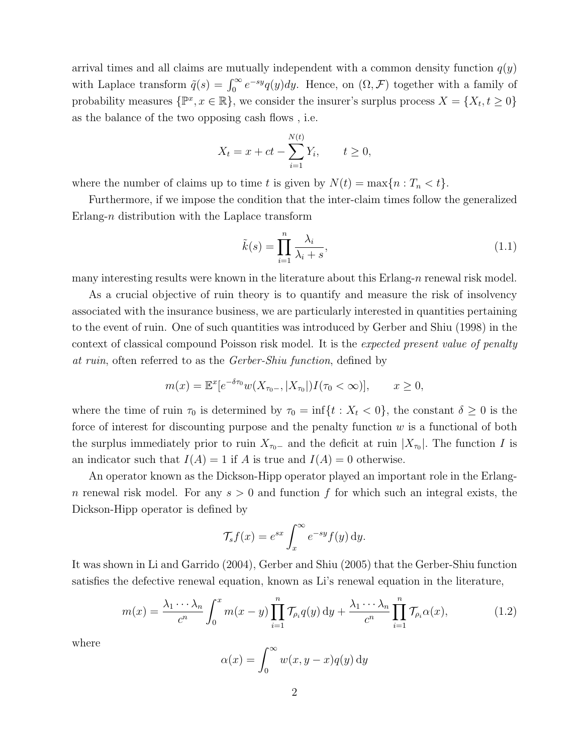arrival times and all claims are mutually independent with a common density function  $q(y)$ with Laplace transform  $\tilde{q}(s) = \int_0^\infty e^{-sy} q(y) dy$ . Hence, on  $(\Omega, \mathcal{F})$  together with a family of probability measures  $\{\mathbb{P}^x, x \in \mathbb{R}\}$ , we consider the insurer's surplus process  $X = \{X_t, t \geq 0\}$ as the balance of the two opposing cash flows , i.e.

$$
X_t = x + ct - \sum_{i=1}^{N(t)} Y_i
$$
,  $t \ge 0$ ,

where the number of claims up to time t is given by  $N(t) = \max\{n : T_n < t\}.$ 

Furthermore, if we impose the condition that the inter-claim times follow the generalized Erlang- $n$  distribution with the Laplace transform

$$
\tilde{k}(s) = \prod_{i=1}^{n} \frac{\lambda_i}{\lambda_i + s},\tag{1.1}
$$

many interesting results were known in the literature about this Erlang- $n$  renewal risk model.

As a crucial objective of ruin theory is to quantify and measure the risk of insolvency associated with the insurance business, we are particularly interested in quantities pertaining to the event of ruin. One of such quantities was introduced by Gerber and Shiu (1998) in the context of classical compound Poisson risk model. It is the expected present value of penalty at ruin, often referred to as the Gerber-Shiu function, defined by

$$
m(x) = \mathbb{E}^x[e^{-\delta \tau_0} w(X_{\tau_0-}, |X_{\tau_0}|)I(\tau_0 < \infty)], \qquad x \ge 0,
$$

where the time of ruin  $\tau_0$  is determined by  $\tau_0 = \inf\{t : X_t < 0\}$ , the constant  $\delta \geq 0$  is the force of interest for discounting purpose and the penalty function  $w$  is a functional of both the surplus immediately prior to ruin  $X_{\tau_0-}$  and the deficit at ruin  $|X_{\tau_0}|$ . The function I is an indicator such that  $I(A) = 1$  if A is true and  $I(A) = 0$  otherwise.

An operator known as the Dickson-Hipp operator played an important role in the Erlangn renewal risk model. For any  $s > 0$  and function f for which such an integral exists, the Dickson-Hipp operator is defined by

$$
\mathcal{T}_s f(x) = e^{sx} \int_x^{\infty} e^{-sy} f(y) \, dy.
$$

It was shown in Li and Garrido (2004), Gerber and Shiu (2005) that the Gerber-Shiu function satisfies the defective renewal equation, known as Li's renewal equation in the literature,

$$
m(x) = \frac{\lambda_1 \cdots \lambda_n}{c^n} \int_0^x m(x - y) \prod_{i=1}^n \mathcal{T}_{\rho_i} q(y) dy + \frac{\lambda_1 \cdots \lambda_n}{c^n} \prod_{i=1}^n \mathcal{T}_{\rho_i} \alpha(x), \tag{1.2}
$$

where

$$
\alpha(x) = \int_0^\infty w(x, y - x) q(y) \, \mathrm{d}y
$$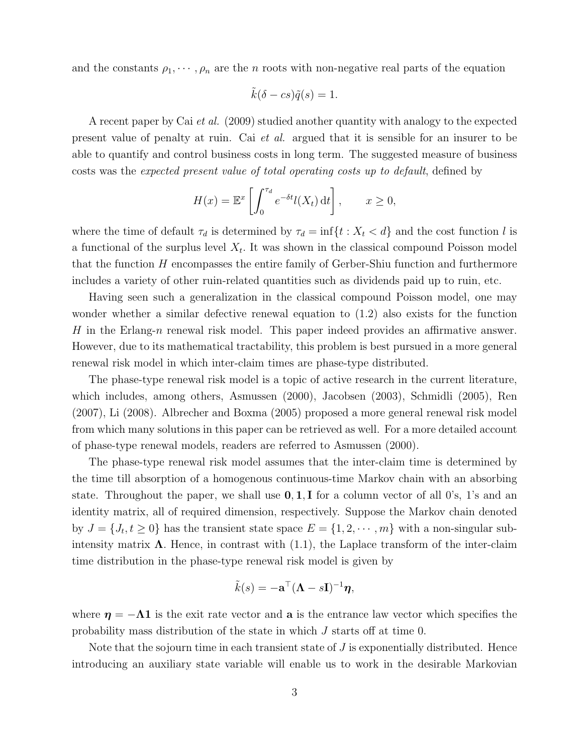and the constants  $\rho_1, \dots, \rho_n$  are the *n* roots with non-negative real parts of the equation

$$
\tilde{k}(\delta - cs)\tilde{q}(s) = 1.
$$

A recent paper by Cai et al. (2009) studied another quantity with analogy to the expected present value of penalty at ruin. Cai et al. argued that it is sensible for an insurer to be able to quantify and control business costs in long term. The suggested measure of business costs was the expected present value of total operating costs up to default, defined by

$$
H(x) = \mathbb{E}^x \left[ \int_0^{\tau_d} e^{-\delta t} l(X_t) dt \right], \qquad x \ge 0,
$$

where the time of default  $\tau_d$  is determined by  $\tau_d = \inf\{t : X_t < d\}$  and the cost function l is a functional of the surplus level  $X_t$ . It was shown in the classical compound Poisson model that the function  $H$  encompasses the entire family of Gerber-Shiu function and furthermore includes a variety of other ruin-related quantities such as dividends paid up to ruin, etc.

Having seen such a generalization in the classical compound Poisson model, one may wonder whether a similar defective renewal equation to (1.2) also exists for the function H in the Erlang-n renewal risk model. This paper indeed provides an affirmative answer. However, due to its mathematical tractability, this problem is best pursued in a more general renewal risk model in which inter-claim times are phase-type distributed.

The phase-type renewal risk model is a topic of active research in the current literature, which includes, among others, Asmussen (2000), Jacobsen (2003), Schmidli (2005), Ren (2007), Li (2008). Albrecher and Boxma (2005) proposed a more general renewal risk model from which many solutions in this paper can be retrieved as well. For a more detailed account of phase-type renewal models, readers are referred to Asmussen (2000).

The phase-type renewal risk model assumes that the inter-claim time is determined by the time till absorption of a homogenous continuous-time Markov chain with an absorbing state. Throughout the paper, we shall use  $0, 1, I$  for a column vector of all 0's, 1's and an identity matrix, all of required dimension, respectively. Suppose the Markov chain denoted by  $J = \{J_t, t \geq 0\}$  has the transient state space  $E = \{1, 2, \dots, m\}$  with a non-singular subintensity matrix  $\Lambda$ . Hence, in contrast with (1.1), the Laplace transform of the inter-claim time distribution in the phase-type renewal risk model is given by

$$
\tilde{k}(s) = -\mathbf{a}^\top (\mathbf{\Lambda} - s\mathbf{I})^{-1} \boldsymbol{\eta},
$$

where  $\eta = -\Lambda 1$  is the exit rate vector and a is the entrance law vector which specifies the probability mass distribution of the state in which J starts off at time 0.

Note that the sojourn time in each transient state of  $J$  is exponentially distributed. Hence introducing an auxiliary state variable will enable us to work in the desirable Markovian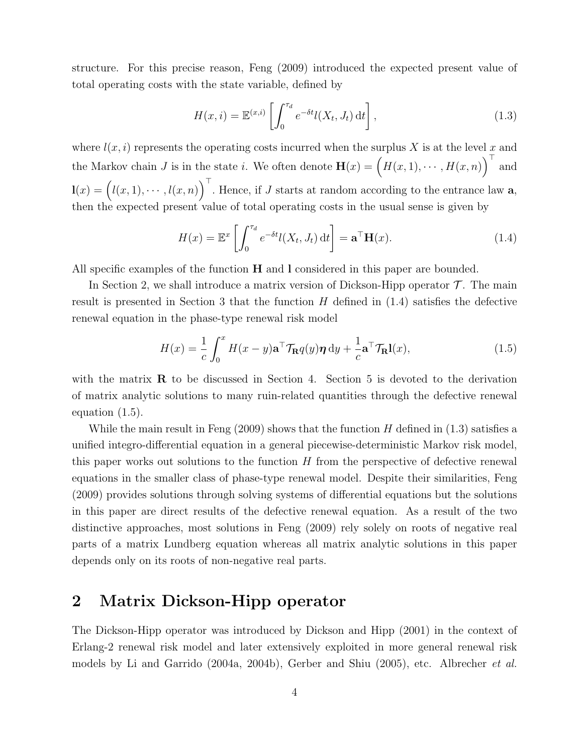structure. For this precise reason, Feng (2009) introduced the expected present value of total operating costs with the state variable, defined by

$$
H(x,i) = \mathbb{E}^{(x,i)} \left[ \int_0^{\tau_d} e^{-\delta t} l(X_t, J_t) dt \right],
$$
\n(1.3)

where  $l(x, i)$  represents the operating costs incurred when the surplus X is at the level x and the Markov chain J is in the state i. We often denote  $\mathbf{H}(x) = (H(x, 1), \cdots, H(x, n))^\top$  and  $\mathbf{l}(x) = (l(x,1), \cdots, l(x,n))^\top$ . Hence, if J starts at random according to the entrance law **a**, then the expected present value of total operating costs in the usual sense is given by

$$
H(x) = \mathbb{E}^x \left[ \int_0^{\tau_d} e^{-\delta t} l(X_t, J_t) dt \right] = \mathbf{a}^\top \mathbf{H}(x).
$$
 (1.4)

All specific examples of the function  $H$  and I considered in this paper are bounded.

In Section 2, we shall introduce a matrix version of Dickson-Hipp operator  $\mathcal T$ . The main result is presented in Section 3 that the function  $H$  defined in  $(1.4)$  satisfies the defective renewal equation in the phase-type renewal risk model

$$
H(x) = \frac{1}{c} \int_0^x H(x - y) \mathbf{a}^\top \mathcal{T}_{\mathbf{R}} q(y) \boldsymbol{\eta} \, \mathrm{d}y + \frac{1}{c} \mathbf{a}^\top \mathcal{T}_{\mathbf{R}} \mathbf{l}(x), \tag{1.5}
$$

with the matrix  $\bf{R}$  to be discussed in Section 4. Section 5 is devoted to the derivation of matrix analytic solutions to many ruin-related quantities through the defective renewal equation (1.5).

While the main result in Feng  $(2009)$  shows that the function H defined in  $(1.3)$  satisfies a unified integro-differential equation in a general piecewise-deterministic Markov risk model, this paper works out solutions to the function  $H$  from the perspective of defective renewal equations in the smaller class of phase-type renewal model. Despite their similarities, Feng (2009) provides solutions through solving systems of differential equations but the solutions in this paper are direct results of the defective renewal equation. As a result of the two distinctive approaches, most solutions in Feng (2009) rely solely on roots of negative real parts of a matrix Lundberg equation whereas all matrix analytic solutions in this paper depends only on its roots of non-negative real parts.

## 2 Matrix Dickson-Hipp operator

The Dickson-Hipp operator was introduced by Dickson and Hipp (2001) in the context of Erlang-2 renewal risk model and later extensively exploited in more general renewal risk models by Li and Garrido (2004a, 2004b), Gerber and Shiu (2005), etc. Albrecher et al.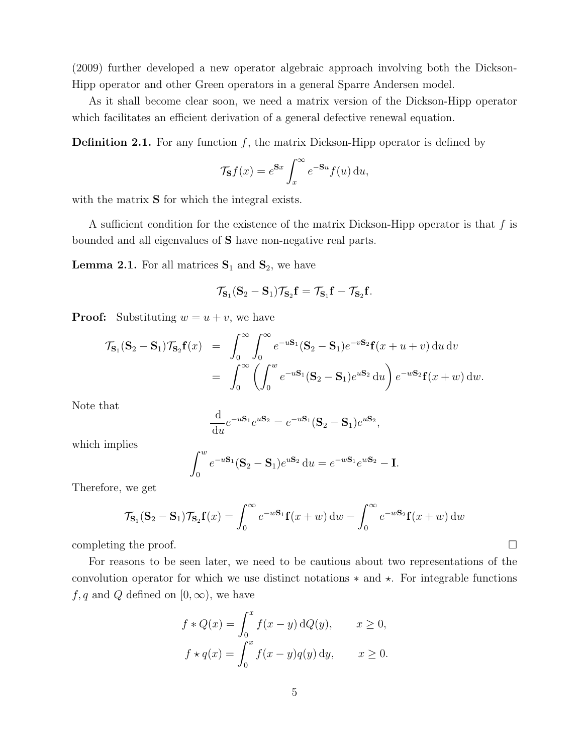(2009) further developed a new operator algebraic approach involving both the Dickson-Hipp operator and other Green operators in a general Sparre Andersen model.

As it shall become clear soon, we need a matrix version of the Dickson-Hipp operator which facilitates an efficient derivation of a general defective renewal equation.

**Definition 2.1.** For any function  $f$ , the matrix Dickson-Hipp operator is defined by

$$
\mathcal{T}_{\mathbf{S}}f(x) = e^{\mathbf{S}x} \int_x^{\infty} e^{-\mathbf{S}u} f(u) \, \mathrm{d}u,
$$

with the matrix **S** for which the integral exists.

A sufficient condition for the existence of the matrix Dickson-Hipp operator is that  $f$  is bounded and all eigenvalues of S have non-negative real parts.

**Lemma 2.1.** For all matrices  $S_1$  and  $S_2$ , we have

$$
\mathcal{T}_{\mathbf{S}_1}(\mathbf{S}_2-\mathbf{S}_1)\mathcal{T}_{\mathbf{S}_2}\mathbf{f}=\mathcal{T}_{\mathbf{S}_1}\mathbf{f}-\mathcal{T}_{\mathbf{S}_2}\mathbf{f}.
$$

**Proof:** Substituting  $w = u + v$ , we have

$$
\mathcal{T}_{\mathbf{S}_1}(\mathbf{S}_2 - \mathbf{S}_1) \mathcal{T}_{\mathbf{S}_2} \mathbf{f}(x) = \int_0^\infty \int_0^\infty e^{-u \mathbf{S}_1} (\mathbf{S}_2 - \mathbf{S}_1) e^{-v \mathbf{S}_2} \mathbf{f}(x + u + v) du dv
$$
  
= 
$$
\int_0^\infty \left( \int_0^w e^{-u \mathbf{S}_1} (\mathbf{S}_2 - \mathbf{S}_1) e^{u \mathbf{S}_2} du \right) e^{-w \mathbf{S}_2} \mathbf{f}(x + w) dw.
$$

Note that

$$
\frac{\mathrm{d}}{\mathrm{d}u}e^{-u\mathbf{S}_1}e^{u\mathbf{S}_2}=e^{-u\mathbf{S}_1}(\mathbf{S}_2-\mathbf{S}_1)e^{u\mathbf{S}_2},
$$

which implies

$$
\int_0^w e^{-u\mathbf{S}_1} (\mathbf{S}_2 - \mathbf{S}_1) e^{u\mathbf{S}_2} du = e^{-w\mathbf{S}_1} e^{w\mathbf{S}_2} - \mathbf{I}.
$$

Therefore, we get

$$
\mathcal{T}_{\mathbf{S}_1}(\mathbf{S}_2 - \mathbf{S}_1) \mathcal{T}_{\mathbf{S}_2} \mathbf{f}(x) = \int_0^\infty e^{-w \mathbf{S}_1} \mathbf{f}(x+w) \, dw - \int_0^\infty e^{-w \mathbf{S}_2} \mathbf{f}(x+w) \, dw
$$

completing the proof.  $\Box$ 

For reasons to be seen later, we need to be cautious about two representations of the convolution operator for which we use distinct notations  $*$  and  $*$ . For integrable functions f, q and Q defined on  $[0, \infty)$ , we have

$$
f * Q(x) = \int_0^x f(x - y) dQ(y), \qquad x \ge 0,
$$
  

$$
f * q(x) = \int_0^x f(x - y) q(y) dy, \qquad x \ge 0.
$$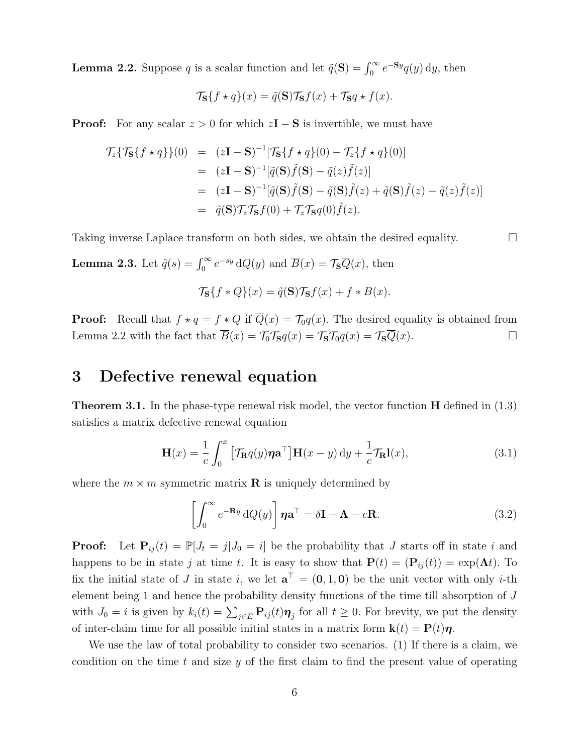**Lemma 2.2.** Suppose q is a scalar function and let  $\tilde{q}(\mathbf{S}) = \int_0^\infty e^{-\mathbf{S}y} q(y) dy$ , then

$$
\mathcal{T}_{\mathbf{S}}\{f \star q\}(x) = \tilde{q}(\mathbf{S})\mathcal{T}_{\mathbf{S}}f(x) + \mathcal{T}_{\mathbf{S}}q \star f(x).
$$

**Proof:** For any scalar  $z > 0$  for which  $zI - S$  is invertible, we must have

$$
\mathcal{T}_{z}\{\mathcal{T}_{S}\{f \star q\}\}(0) = (z\mathbf{I} - \mathbf{S})^{-1}[\mathcal{T}_{S}\{f \star q\}(0) - \mathcal{T}_{z}\{f \star q\}(0)]
$$
  
\n
$$
= (z\mathbf{I} - \mathbf{S})^{-1}[\tilde{q}(\mathbf{S})\tilde{f}(\mathbf{S}) - \tilde{q}(z)\tilde{f}(z)]
$$
  
\n
$$
= (z\mathbf{I} - \mathbf{S})^{-1}[\tilde{q}(\mathbf{S})\tilde{f}(\mathbf{S}) - \tilde{q}(\mathbf{S})\tilde{f}(z) + \tilde{q}(\mathbf{S})\tilde{f}(z) - \tilde{q}(z)\tilde{f}(z)]
$$
  
\n
$$
= \tilde{q}(\mathbf{S})\mathcal{T}_{z}\mathcal{T}_{S}f(0) + \mathcal{T}_{z}\mathcal{T}_{S}q(0)\tilde{f}(z).
$$

Taking inverse Laplace transform on both sides, we obtain the desired equality.

**Lemma 2.3.** Let  $\tilde{q}(s) = \int_0^\infty e^{-sy} dQ(y)$  and  $\overline{B}(x) = \mathcal{T}_{\mathbf{S}} \overline{Q}(x)$ , then

$$
\mathcal{T}_{\mathbf{S}}\{f \ast Q\}(x) = \tilde{q}(\mathbf{S})\mathcal{T}_{\mathbf{S}}f(x) + f \ast B(x).
$$

**Proof:** Recall that  $f \star q = f * Q$  if  $\overline{Q}(x) = \mathcal{T}_0 q(x)$ . The desired equality is obtained from Lemma 2.2 with the fact that  $\overline{B}(x) = \mathcal{T}_0 \mathcal{T}_S q(x) = \mathcal{T}_S \mathcal{T}_0 q(x) = \mathcal{T}_S \overline{Q}(x)$ .

## 3 Defective renewal equation

Theorem 3.1. In the phase-type renewal risk model, the vector function H defined in (1.3) satisfies a matrix defective renewal equation

$$
\mathbf{H}(x) = \frac{1}{c} \int_0^x \left[ \mathcal{T}_{\mathbf{R}} q(y) \boldsymbol{\eta} \mathbf{a}^\top \right] \mathbf{H}(x - y) \, \mathrm{d}y + \frac{1}{c} \mathcal{T}_{\mathbf{R}} \mathbf{l}(x), \tag{3.1}
$$

where the  $m \times m$  symmetric matrix **R** is uniquely determined by

$$
\left[\int_0^\infty e^{-\mathbf{R}y} dQ(y)\right] \boldsymbol{\eta} \mathbf{a}^\top = \delta \mathbf{I} - \boldsymbol{\Lambda} - c\mathbf{R}.\tag{3.2}
$$

**Proof:** Let  $P_{ij}(t) = \mathbb{P}[J_t = j | J_0 = i]$  be the probability that J starts off in state i and happens to be in state j at time t. It is easy to show that  $P(t) = (P_{ij}(t)) = \exp(\Lambda t)$ . To fix the initial state of J in state i, we let  $\mathbf{a}^{\top} = (0, 1, 0)$  be the unit vector with only i-th element being 1 and hence the probability density functions of the time till absorption of J with  $J_0 = i$  is given by  $k_i(t) = \sum_{j \in E} \mathbf{P}_{ij}(t) \boldsymbol{\eta}_j$  for all  $t \geq 0$ . For brevity, we put the density of inter-claim time for all possible initial states in a matrix form  $\mathbf{k}(t) = \mathbf{P}(t)\boldsymbol{\eta}$ .

We use the law of total probability to consider two scenarios. (1) If there is a claim, we condition on the time  $t$  and size  $y$  of the first claim to find the present value of operating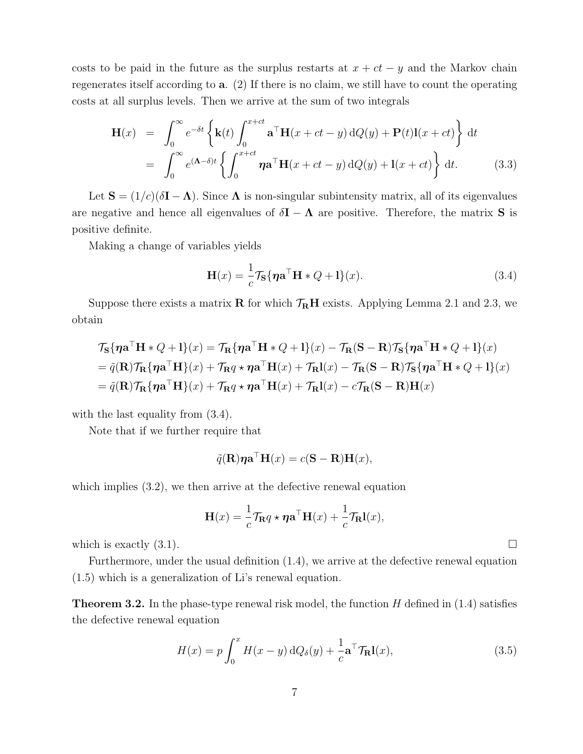costs to be paid in the future as the surplus restarts at  $x + ct - y$  and the Markov chain regenerates itself according to a. (2) If there is no claim, we still have to count the operating costs at all surplus levels. Then we arrive at the sum of two integrals

$$
\mathbf{H}(x) = \int_0^\infty e^{-\delta t} \left\{ \mathbf{k}(t) \int_0^{x+ct} \mathbf{a}^\top \mathbf{H}(x+ct-y) \, dQ(y) + \mathbf{P}(t) \mathbf{l}(x+ct) \right\} dt
$$
  
= 
$$
\int_0^\infty e^{(\mathbf{\Lambda} - \delta)t} \left\{ \int_0^{x+ct} \boldsymbol{\eta} \mathbf{a}^\top \mathbf{H}(x+ct-y) \, dQ(y) + \mathbf{l}(x+ct) \right\} dt.
$$
 (3.3)

Let  $S = (1/c)(\delta I - \Lambda)$ . Since  $\Lambda$  is non-singular subintensity matrix, all of its eigenvalues are negative and hence all eigenvalues of  $\delta I - \Lambda$  are positive. Therefore, the matrix S is positive definite.

Making a change of variables yields

$$
\mathbf{H}(x) = \frac{1}{c} \mathcal{T}_{\mathbf{S}} \{ \boldsymbol{\eta} \mathbf{a}^{\top} \mathbf{H} * Q + \mathbf{l} \}(x). \tag{3.4}
$$

Suppose there exists a matrix **R** for which  $\mathcal{T}_{\mathbf{R}}\mathbf{H}$  exists. Applying Lemma 2.1 and 2.3, we obtain

$$
\mathcal{T}_{\mathbf{S}}\{\boldsymbol{\eta}\mathbf{a}^{\top}\mathbf{H} * Q + \mathbf{l}\}(x) = \mathcal{T}_{\mathbf{R}}\{\boldsymbol{\eta}\mathbf{a}^{\top}\mathbf{H} * Q + \mathbf{l}\}(x) - \mathcal{T}_{\mathbf{R}}(\mathbf{S} - \mathbf{R})\mathcal{T}_{\mathbf{S}}\{\boldsymbol{\eta}\mathbf{a}^{\top}\mathbf{H} * Q + \mathbf{l}\}(x)
$$
  
=  $\tilde{q}(\mathbf{R})\mathcal{T}_{\mathbf{R}}\{\boldsymbol{\eta}\mathbf{a}^{\top}\mathbf{H}\}(x) + \mathcal{T}_{\mathbf{R}}q \star \boldsymbol{\eta}\mathbf{a}^{\top}\mathbf{H}(x) + \mathcal{T}_{\mathbf{R}}l(x) - \mathcal{T}_{\mathbf{R}}(\mathbf{S} - \mathbf{R})\mathcal{T}_{\mathbf{S}}\{\boldsymbol{\eta}\mathbf{a}^{\top}\mathbf{H} * Q + \mathbf{l}\}(x)$   
=  $\tilde{q}(\mathbf{R})\mathcal{T}_{\mathbf{R}}\{\boldsymbol{\eta}\mathbf{a}^{\top}\mathbf{H}\}(x) + \mathcal{T}_{\mathbf{R}}q \star \boldsymbol{\eta}\mathbf{a}^{\top}\mathbf{H}(x) + \mathcal{T}_{\mathbf{R}}l(x) - c\mathcal{T}_{\mathbf{R}}(\mathbf{S} - \mathbf{R})\mathbf{H}(x)$ 

with the last equality from  $(3.4)$ .

Note that if we further require that

$$
\tilde{q}(\mathbf{R})\boldsymbol{\eta}\mathbf{a}^{\top}\mathbf{H}(x) = c(\mathbf{S} - \mathbf{R})\mathbf{H}(x),
$$

which implies  $(3.2)$ , we then arrive at the defective renewal equation

$$
\mathbf{H}(x) = \frac{1}{c} \mathcal{T}_{\mathbf{R}} q \star \eta \mathbf{a}^{\top} \mathbf{H}(x) + \frac{1}{c} \mathcal{T}_{\mathbf{R}} \mathbf{l}(x),
$$

which is exactly  $(3.1)$ .

Furthermore, under the usual definition (1.4), we arrive at the defective renewal equation (1.5) which is a generalization of Li's renewal equation.

**Theorem 3.2.** In the phase-type renewal risk model, the function  $H$  defined in (1.4) satisfies the defective renewal equation

$$
H(x) = p \int_0^x H(x - y) \, dQ_\delta(y) + \frac{1}{c} \mathbf{a}^\top \mathcal{T}_{\mathbf{R}} \mathbf{l}(x), \tag{3.5}
$$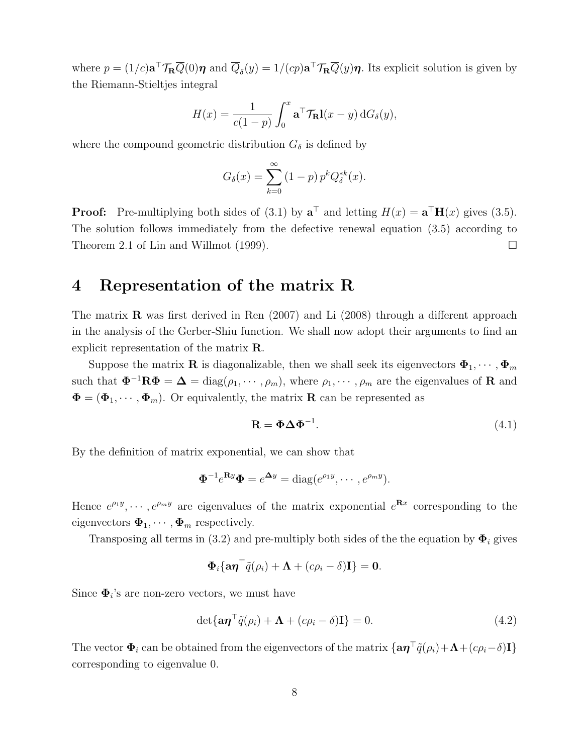where  $p = (1/c)\mathbf{a}^\top \mathcal{T}_\mathbf{R} \overline{Q}(0)\boldsymbol{\eta}$  and  $\overline{Q}_{\delta}(y) = 1/(cp)\mathbf{a}^\top \mathcal{T}_\mathbf{R} \overline{Q}(y)\boldsymbol{\eta}$ . Its explicit solution is given by the Riemann-Stieltjes integral

$$
H(x) = \frac{1}{c(1-p)} \int_0^x \mathbf{a}^\top \mathcal{T}_{\mathbf{R}} \mathbf{l}(x-y) \,dG_\delta(y),
$$

where the compound geometric distribution  $G_{\delta}$  is defined by

$$
G_{\delta}(x) = \sum_{k=0}^{\infty} (1-p) p^{k} Q_{\delta}^{*k}(x).
$$

**Proof:** Pre-multiplying both sides of (3.1) by  $\mathbf{a}^{\top}$  and letting  $H(x) = \mathbf{a}^{\top}H(x)$  gives (3.5). The solution follows immediately from the defective renewal equation (3.5) according to Theorem 2.1 of Lin and Willmot (1999).

## 4 Representation of the matrix R

The matrix **R** was first derived in Ren  $(2007)$  and Li  $(2008)$  through a different approach in the analysis of the Gerber-Shiu function. We shall now adopt their arguments to find an explicit representation of the matrix R.

Suppose the matrix **R** is diagonalizable, then we shall seek its eigenvectors  $\Phi_1, \cdots, \Phi_m$ such that  $\mathbf{\Phi}^{-1}\mathbf{R}\mathbf{\Phi} = \mathbf{\Delta} = \text{diag}(\rho_1, \cdots, \rho_m)$ , where  $\rho_1, \cdots, \rho_m$  are the eigenvalues of **R** and  $\mathbf{\Phi} = (\mathbf{\Phi}_1, \cdots, \mathbf{\Phi}_m)$ . Or equivalently, the matrix **R** can be represented as

$$
\mathbf{R} = \mathbf{\Phi} \Delta \mathbf{\Phi}^{-1}.
$$
 (4.1)

By the definition of matrix exponential, we can show that

$$
\mathbf{\Phi}^{-1}e^{\mathbf{R}y}\mathbf{\Phi}=e^{\mathbf{\Delta}y}=\mathrm{diag}(e^{\rho_1y},\cdots,e^{\rho_my}).
$$

Hence  $e^{\rho_1 y}, \dots, e^{\rho_m y}$  are eigenvalues of the matrix exponential  $e^{\mathbf{R}x}$  corresponding to the eigenvectors  $\boldsymbol{\Phi}_1, \cdots, \boldsymbol{\Phi}_m$  respectively.

Transposing all terms in (3.2) and pre-multiply both sides of the the equation by  $\Phi_i$  gives

$$
\mathbf{\Phi}_i \{ \mathbf{a} \boldsymbol{\eta}^\top \tilde{q}(\rho_i) + \boldsymbol{\Lambda} + (c\rho_i - \delta) \mathbf{I} \} = \mathbf{0}.
$$

Since  $\Phi_i$ 's are non-zero vectors, we must have

$$
\det{\{\mathbf{a}\boldsymbol{\eta}^\top\tilde{q}(\rho_i) + \boldsymbol{\Lambda} + (c\rho_i - \delta)\mathbf{I}\}} = 0.
$$
\n(4.2)

The vector  $\Phi_i$  can be obtained from the eigenvectors of the matrix  $\{\mathbf{a}\boldsymbol{\eta}^\top\tilde{q}(\rho_i)+\boldsymbol{\Lambda}+(c\rho_i-\delta)\mathbf{I}\}$ corresponding to eigenvalue 0.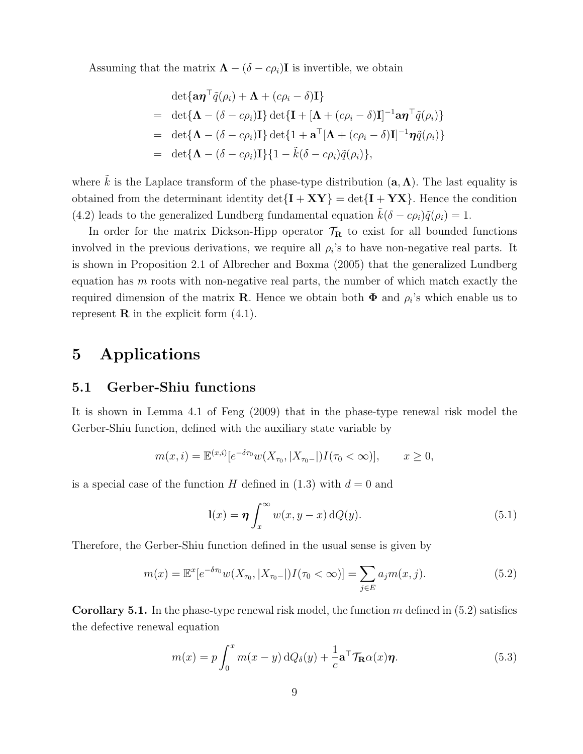Assuming that the matrix  $\mathbf{\Lambda} - (\delta - c\rho_i)\mathbf{I}$  is invertible, we obtain

$$
\det{\mathbf{a}\boldsymbol{\eta}^{\top}\tilde{q}(\rho_i) + \boldsymbol{\Lambda} + (c\rho_i - \delta)\mathbf{I}}
$$
\n
$$
= \det{\mathbf{\Lambda} - (\delta - c\rho_i)\mathbf{I}} \det{\mathbf{I} + [\boldsymbol{\Lambda} + (c\rho_i - \delta)\mathbf{I}]^{-1}\mathbf{a}\boldsymbol{\eta}^{\top}\tilde{q}(\rho_i)}
$$
\n
$$
= \det{\mathbf{\Lambda} - (\delta - c\rho_i)\mathbf{I}} \det{\mathbf{I} + \mathbf{a}^{\top}[\boldsymbol{\Lambda} + (c\rho_i - \delta)\mathbf{I}]^{-1}\boldsymbol{\eta}\tilde{q}(\rho_i)}
$$
\n
$$
= \det{\mathbf{\Lambda} - (\delta - c\rho_i)\mathbf{I}} \{1 - \tilde{k}(\delta - c\rho_i)\tilde{q}(\rho_i)\},
$$

where  $\tilde{k}$  is the Laplace transform of the phase-type distribution  $(a, \Lambda)$ . The last equality is obtained from the determinant identity  $\det\{\mathbf{I} + \mathbf{X}\mathbf{Y}\} = \det\{\mathbf{I} + \mathbf{Y}\mathbf{X}\}\.$  Hence the condition (4.2) leads to the generalized Lundberg fundamental equation  $\tilde{k}(\delta - c\rho_i)\tilde{q}(\rho_i) = 1$ .

In order for the matrix Dickson-Hipp operator  $\mathcal{T}_{\mathbf{R}}$  to exist for all bounded functions involved in the previous derivations, we require all  $\rho_i$ 's to have non-negative real parts. It is shown in Proposition 2.1 of Albrecher and Boxma (2005) that the generalized Lundberg equation has  $m$  roots with non-negative real parts, the number of which match exactly the required dimension of the matrix **R**. Hence we obtain both  $\Phi$  and  $\rho_i$ 's which enable us to represent  $\bf{R}$  in the explicit form  $(4.1)$ .

# 5 Applications

#### 5.1 Gerber-Shiu functions

It is shown in Lemma 4.1 of Feng (2009) that in the phase-type renewal risk model the Gerber-Shiu function, defined with the auxiliary state variable by

$$
m(x,i) = \mathbb{E}^{(x,i)}[e^{-\delta \tau_0} w(X_{\tau_0}, |X_{\tau_0-}|)I(\tau_0 < \infty)], \qquad x \ge 0,
$$

is a special case of the function H defined in  $(1.3)$  with  $d = 0$  and

$$
\mathbf{l}(x) = \boldsymbol{\eta} \int_x^{\infty} w(x, y - x) \, dQ(y). \tag{5.1}
$$

Therefore, the Gerber-Shiu function defined in the usual sense is given by

$$
m(x) = \mathbb{E}^x[e^{-\delta \tau_0} w(X_{\tau_0}, |X_{\tau_0-}|) I(\tau_0 < \infty)] = \sum_{j \in E} a_j m(x, j).
$$
 (5.2)

**Corollary 5.1.** In the phase-type renewal risk model, the function  $m$  defined in  $(5.2)$  satisfies the defective renewal equation

$$
m(x) = p \int_0^x m(x - y) dQ_\delta(y) + \frac{1}{c} \mathbf{a}^\top \mathcal{T}_{\mathbf{R}} \alpha(x) \boldsymbol{\eta}.
$$
 (5.3)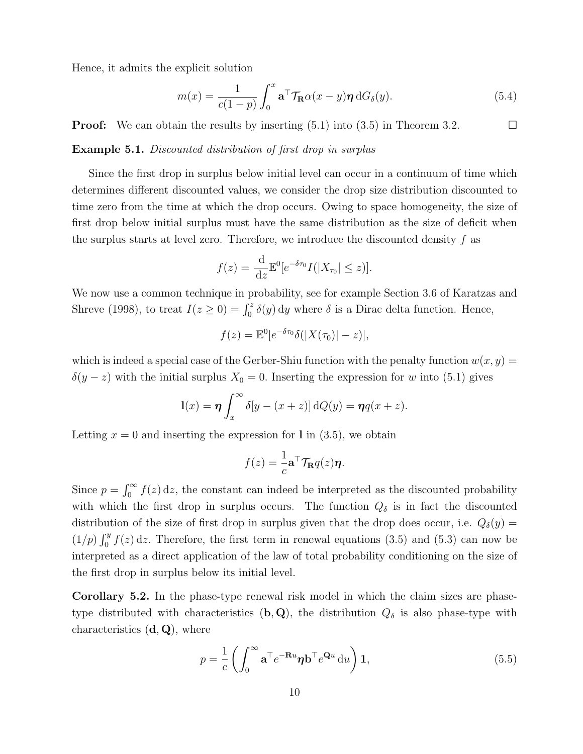Hence, it admits the explicit solution

$$
m(x) = \frac{1}{c(1-p)} \int_0^x \mathbf{a}^\top \mathcal{T}_{\mathbf{R}} \alpha(x-y) \boldsymbol{\eta} \, dG_\delta(y). \tag{5.4}
$$

**Proof:** We can obtain the results by inserting  $(5.1)$  into  $(3.5)$  in Theorem 3.2.

Example 5.1. Discounted distribution of first drop in surplus

Since the first drop in surplus below initial level can occur in a continuum of time which determines different discounted values, we consider the drop size distribution discounted to time zero from the time at which the drop occurs. Owing to space homogeneity, the size of first drop below initial surplus must have the same distribution as the size of deficit when the surplus starts at level zero. Therefore, we introduce the discounted density  $f$  as

$$
f(z) = \frac{\mathrm{d}}{\mathrm{d}z} \mathbb{E}^0[e^{-\delta \tau_0} I(|X_{\tau_0}| \leq z)].
$$

We now use a common technique in probability, see for example Section 3.6 of Karatzas and Shreve (1998), to treat  $I(z \ge 0) = \int_0^z \delta(y) dy$  where  $\delta$  is a Dirac delta function. Hence,

$$
f(z) = \mathbb{E}^0[e^{-\delta \tau_0} \delta(|X(\tau_0)| - z)],
$$

which is indeed a special case of the Gerber-Shiu function with the penalty function  $w(x, y) =$  $\delta(y-z)$  with the initial surplus  $X_0 = 0$ . Inserting the expression for w into (5.1) gives

$$
\mathbf{l}(x) = \boldsymbol{\eta} \int_x^{\infty} \delta[y - (x + z)] \,\mathrm{d}Q(y) = \boldsymbol{\eta}q(x + z).
$$

Letting  $x = 0$  and inserting the expression for l in  $(3.5)$ , we obtain

$$
f(z) = \frac{1}{c} \mathbf{a}^\top \mathcal{T}_{\mathbf{R}} q(z) \boldsymbol{\eta}.
$$

Since  $p = \int_0^\infty f(z) dz$ , the constant can indeed be interpreted as the discounted probability with which the first drop in surplus occurs. The function  $Q_{\delta}$  is in fact the discounted distribution of the size of first drop in surplus given that the drop does occur, i.e.  $Q_{\delta}(y) =$  $(1/p)\int_0^y f(z) dz$ . Therefore, the first term in renewal equations (3.5) and (5.3) can now be interpreted as a direct application of the law of total probability conditioning on the size of the first drop in surplus below its initial level.

Corollary 5.2. In the phase-type renewal risk model in which the claim sizes are phasetype distributed with characteristics  $(b, Q)$ , the distribution  $Q_{\delta}$  is also phase-type with characteristics  $(d, Q)$ , where

$$
p = \frac{1}{c} \left( \int_0^\infty \mathbf{a}^\top e^{-\mathbf{R}u} \boldsymbol{\eta} \mathbf{b}^\top e^{\mathbf{Q}u} \, \mathrm{d}u \right) \mathbf{1},\tag{5.5}
$$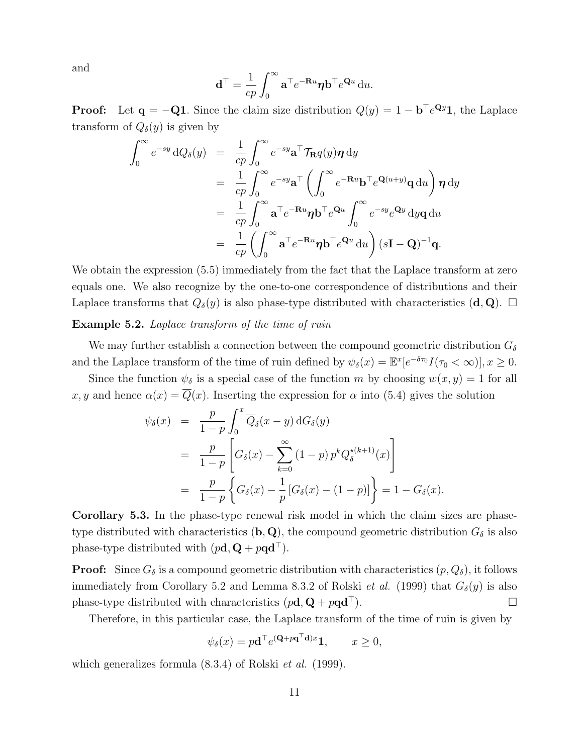and

$$
\mathbf{d}^{\top} = \frac{1}{cp} \int_0^{\infty} \mathbf{a}^{\top} e^{-\mathbf{R}u} \boldsymbol{\eta} \mathbf{b}^{\top} e^{\mathbf{Q}u} \, \mathrm{d}u.
$$

**Proof:** Let  $\mathbf{q} = -\mathbf{Q} \mathbf{1}$ . Since the claim size distribution  $Q(y) = 1 - \mathbf{b}^\top e^{\mathbf{Q}y} \mathbf{1}$ , the Laplace transform of  $Q_{\delta}(y)$  is given by

$$
\int_0^\infty e^{-sy} dQ_\delta(y) = \frac{1}{cp} \int_0^\infty e^{-sy} \mathbf{a}^\top \mathcal{T}_{\mathbf{R}} q(y) \boldsymbol{\eta} dy
$$
  
\n
$$
= \frac{1}{cp} \int_0^\infty e^{-sy} \mathbf{a}^\top \left( \int_0^\infty e^{-\mathbf{R}u} \mathbf{b}^\top e^{\mathbf{Q}(u+y)} \mathbf{q} du \right) \boldsymbol{\eta} dy
$$
  
\n
$$
= \frac{1}{cp} \int_0^\infty \mathbf{a}^\top e^{-\mathbf{R}u} \boldsymbol{\eta} \mathbf{b}^\top e^{\mathbf{Q}u} \int_0^\infty e^{-sy} e^{\mathbf{Q}y} dy \mathbf{q} du
$$
  
\n
$$
= \frac{1}{cp} \left( \int_0^\infty \mathbf{a}^\top e^{-\mathbf{R}u} \boldsymbol{\eta} \mathbf{b}^\top e^{\mathbf{Q}u} du \right) (s\mathbf{I} - \mathbf{Q})^{-1} \mathbf{q}.
$$

We obtain the expression  $(5.5)$  immediately from the fact that the Laplace transform at zero equals one. We also recognize by the one-to-one correspondence of distributions and their Laplace transforms that  $Q_{\delta}(y)$  is also phase-type distributed with characteristics  $(\mathbf{d}, \mathbf{Q})$ .  $\Box$ 

#### Example 5.2. Laplace transform of the time of ruin

We may further establish a connection between the compound geometric distribution  $G_{\delta}$ and the Laplace transform of the time of ruin defined by  $\psi_{\delta}(x) = \mathbb{E}^{x} [e^{-\delta \tau_0} I(\tau_0 < \infty)], x \ge 0.$ 

Since the function  $\psi_{\delta}$  is a special case of the function m by choosing  $w(x, y) = 1$  for all x, y and hence  $\alpha(x) = Q(x)$ . Inserting the expression for  $\alpha$  into (5.4) gives the solution

$$
\psi_{\delta}(x) = \frac{p}{1-p} \int_{0}^{x} \overline{Q}_{\delta}(x-y) dG_{\delta}(y) \n= \frac{p}{1-p} \left[ G_{\delta}(x) - \sum_{k=0}^{\infty} (1-p) p^{k} Q_{\delta}^{\star(k+1)}(x) \right] \n= \frac{p}{1-p} \left\{ G_{\delta}(x) - \frac{1}{p} \left[ G_{\delta}(x) - (1-p) \right] \right\} = 1 - G_{\delta}(x).
$$

Corollary 5.3. In the phase-type renewal risk model in which the claim sizes are phasetype distributed with characteristics (b, Q), the compound geometric distribution  $G_{\delta}$  is also phase-type distributed with  $(p\mathbf{d}, \mathbf{Q} + p\mathbf{q}\mathbf{d}^{\top})$ .

**Proof:** Since  $G_{\delta}$  is a compound geometric distribution with characteristics  $(p, Q_{\delta})$ , it follows immediately from Corollary 5.2 and Lemma 8.3.2 of Rolski *et al.* (1999) that  $G_{\delta}(y)$  is also phase-type distributed with characteristics  $(p\mathbf{d}, \mathbf{Q} + p\mathbf{q}\mathbf{d}^{\top})$ .

Therefore, in this particular case, the Laplace transform of the time of ruin is given by

$$
\psi_{\delta}(x) = p\mathbf{d}^{\top} e^{(\mathbf{Q} + p\mathbf{q}^{\top}\mathbf{d})x} \mathbf{1}, \qquad x \ge 0,
$$

which generalizes formula  $(8.3.4)$  of Rolski *et al.* (1999).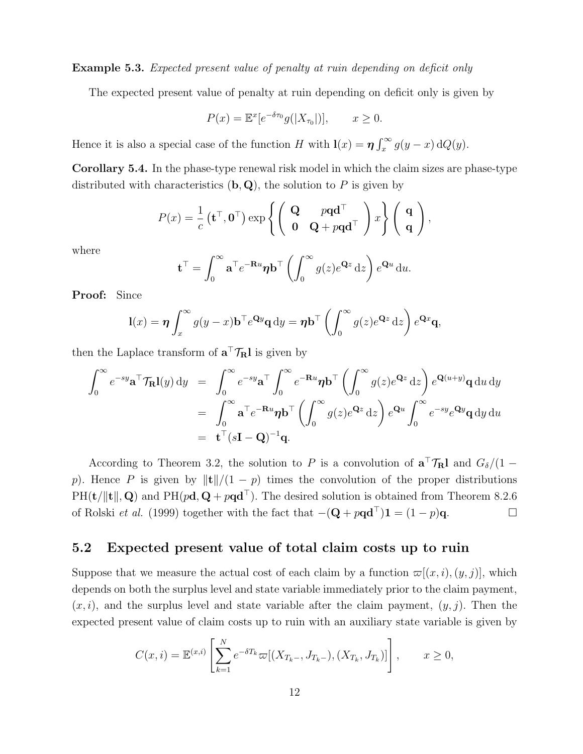Example 5.3. Expected present value of penalty at ruin depending on deficit only

The expected present value of penalty at ruin depending on deficit only is given by

$$
P(x) = \mathbb{E}^x[e^{-\delta \tau_0}g(|X_{\tau_0}|)], \qquad x \ge 0.
$$

Hence it is also a special case of the function H with  $\mathbf{l}(x) = \eta \int_x^{\infty} g(y - x) dQ(y)$ .

Corollary 5.4. In the phase-type renewal risk model in which the claim sizes are phase-type distributed with characteristics  $(b, Q)$ , the solution to P is given by

$$
P(x) = \frac{1}{c} \left( \mathbf{t}^{\top}, \mathbf{0}^{\top} \right) \exp \left\{ \begin{pmatrix} \mathbf{Q} & p\mathbf{q}\mathbf{d}^{\top} \\ \mathbf{0} & \mathbf{Q} + p\mathbf{q}\mathbf{d}^{\top} \end{pmatrix} x \right\} \begin{pmatrix} \mathbf{q} \\ \mathbf{q} \end{pmatrix},
$$

where

$$
\mathbf{t}^{\top} = \int_0^{\infty} \mathbf{a}^{\top} e^{-\mathbf{R}u} \boldsymbol{\eta} \mathbf{b}^{\top} \left( \int_0^{\infty} g(z) e^{\mathbf{Q}z} dz \right) e^{\mathbf{Q}u} du.
$$

Proof: Since

$$
l(x) = \eta \int_x^{\infty} g(y - x) b^{\top} e^{\mathbf{Q}y} \mathbf{q} \, \mathrm{d}y = \eta b^{\top} \left( \int_0^{\infty} g(z) e^{\mathbf{Q}z} \, \mathrm{d}z \right) e^{\mathbf{Q}x} \mathbf{q},
$$

then the Laplace transform of  $\mathbf{a}^{\top} \mathcal{T}_{\mathbf{R}} \mathbf{l}$  is given by

$$
\int_0^{\infty} e^{-sy} \mathbf{a}^\top \mathcal{T}_{\mathbf{R}} \mathbf{l}(y) dy = \int_0^{\infty} e^{-sy} \mathbf{a}^\top \int_0^{\infty} e^{-\mathbf{R}u} \mathbf{\eta} \mathbf{b}^\top \left( \int_0^{\infty} g(z) e^{\mathbf{Q}z} dz \right) e^{\mathbf{Q}(u+y)} \mathbf{q} du dy
$$
  
\n
$$
= \int_0^{\infty} \mathbf{a}^\top e^{-\mathbf{R}u} \mathbf{\eta} \mathbf{b}^\top \left( \int_0^{\infty} g(z) e^{\mathbf{Q}z} dz \right) e^{\mathbf{Q}u} \int_0^{\infty} e^{-sy} e^{\mathbf{Q}y} \mathbf{q} dy du
$$
  
\n
$$
= \mathbf{t}^\top (s\mathbf{I} - \mathbf{Q})^{-1} \mathbf{q}.
$$

According to Theorem 3.2, the solution to P is a convolution of  $\mathbf{a}^\top \mathcal{T}_{\mathbf{R}}$ l and  $G_{\delta}/(1$ p). Hence P is given by  $\|\mathbf{t}\|/(1 - p)$  times the convolution of the proper distributions  $PH(t/\|t\|, Q)$  and  $PH(pd, Q + pqd^{\top})$ . The desired solution is obtained from Theorem 8.2.6 of Rolski *et al.* (1999) together with the fact that  $-(\mathbf{Q} + p\mathbf{q}\mathbf{d}^{\top})\mathbf{1} = (1 - p)\mathbf{q}$ .

## 5.2 Expected present value of total claim costs up to ruin

Suppose that we measure the actual cost of each claim by a function  $\varpi[(x, i), (y, j)]$ , which depends on both the surplus level and state variable immediately prior to the claim payment,  $(x, i)$ , and the surplus level and state variable after the claim payment,  $(y, j)$ . Then the expected present value of claim costs up to ruin with an auxiliary state variable is given by

$$
C(x,i) = \mathbb{E}^{(x,i)} \left[ \sum_{k=1}^{N} e^{-\delta T_k} \varpi[(X_{T_k-}, J_{T_k-}), (X_{T_k}, J_{T_k})] \right], \qquad x \ge 0,
$$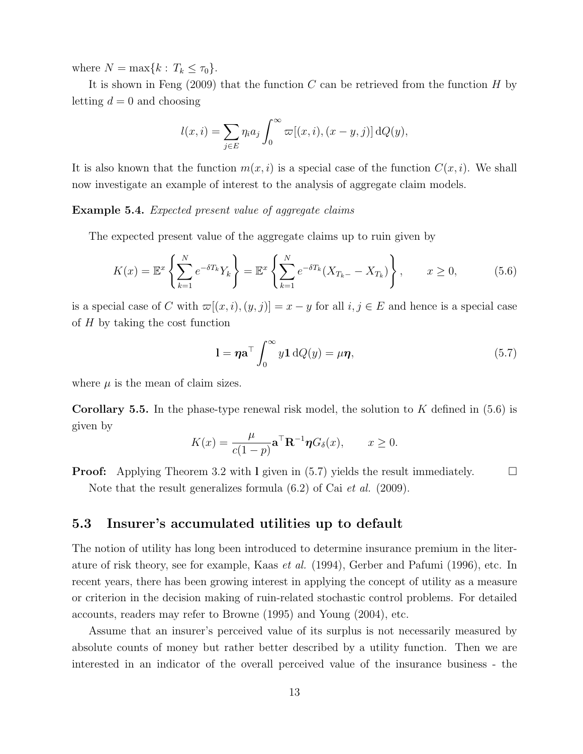where  $N = \max\{k : T_k \leq \tau_0\}.$ 

It is shown in Feng  $(2009)$  that the function C can be retrieved from the function H by letting  $d = 0$  and choosing

$$
l(x,i) = \sum_{j \in E} \eta_i a_j \int_0^\infty \varpi[(x,i),(x-y,j)] dQ(y),
$$

It is also known that the function  $m(x, i)$  is a special case of the function  $C(x, i)$ . We shall now investigate an example of interest to the analysis of aggregate claim models.

Example 5.4. Expected present value of aggregate claims

The expected present value of the aggregate claims up to ruin given by

$$
K(x) = \mathbb{E}^x \left\{ \sum_{k=1}^N e^{-\delta T_k} Y_k \right\} = \mathbb{E}^x \left\{ \sum_{k=1}^N e^{-\delta T_k} (X_{T_k} - X_{T_k}) \right\}, \qquad x \ge 0,
$$
 (5.6)

is a special case of C with  $\varpi[(x, i), (y, j)] = x - y$  for all  $i, j \in E$  and hence is a special case of  $H$  by taking the cost function

$$
1 = \eta \mathbf{a}^\top \int_0^\infty y \mathbf{1} \, dQ(y) = \mu \eta,\tag{5.7}
$$

where  $\mu$  is the mean of claim sizes.

**Corollary 5.5.** In the phase-type renewal risk model, the solution to K defined in  $(5.6)$  is given by

$$
K(x) = \frac{\mu}{c(1-p)} \mathbf{a}^\top \mathbf{R}^{-1} \boldsymbol{\eta} G_\delta(x), \qquad x \ge 0.
$$

**Proof:** Applying Theorem 3.2 with I given in  $(5.7)$  yields the result immediately.  $\square$ Note that the result generalizes formula  $(6.2)$  of Cai *et al.* (2009).

## 5.3 Insurer's accumulated utilities up to default

The notion of utility has long been introduced to determine insurance premium in the literature of risk theory, see for example, Kaas et al. (1994), Gerber and Pafumi (1996), etc. In recent years, there has been growing interest in applying the concept of utility as a measure or criterion in the decision making of ruin-related stochastic control problems. For detailed accounts, readers may refer to Browne (1995) and Young (2004), etc.

Assume that an insurer's perceived value of its surplus is not necessarily measured by absolute counts of money but rather better described by a utility function. Then we are interested in an indicator of the overall perceived value of the insurance business - the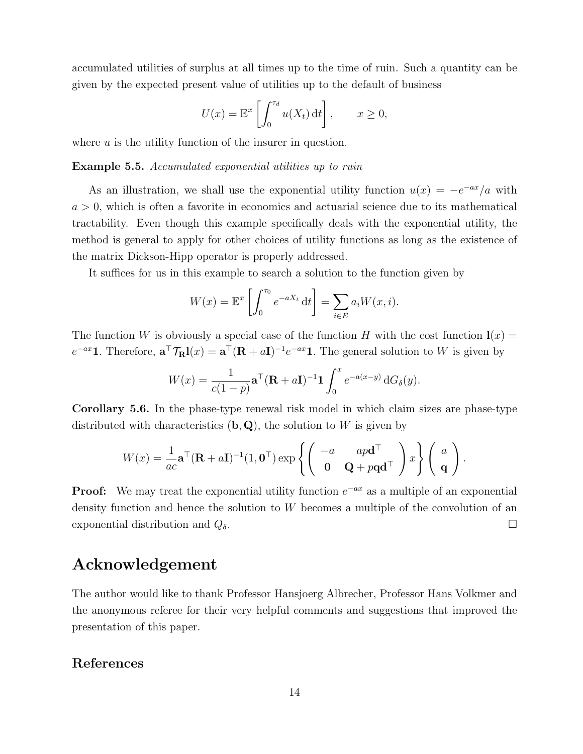accumulated utilities of surplus at all times up to the time of ruin. Such a quantity can be given by the expected present value of utilities up to the default of business

$$
U(x) = \mathbb{E}^x \left[ \int_0^{\tau_d} u(X_t) dt \right], \qquad x \ge 0,
$$

where  $u$  is the utility function of the insurer in question.

#### Example 5.5. Accumulated exponential utilities up to ruin

As an illustration, we shall use the exponential utility function  $u(x) = -e^{-ax}/a$  with  $a > 0$ , which is often a favorite in economics and actuarial science due to its mathematical tractability. Even though this example specifically deals with the exponential utility, the method is general to apply for other choices of utility functions as long as the existence of the matrix Dickson-Hipp operator is properly addressed.

It suffices for us in this example to search a solution to the function given by

$$
W(x) = \mathbb{E}^x \left[ \int_0^{\tau_0} e^{-aX_t} dt \right] = \sum_{i \in E} a_i W(x, i).
$$

The function W is obviously a special case of the function H with the cost function  $\mathbf{I}(x) =$  $e^{-ax}$ 1. Therefore,  $\mathbf{a}^\top \mathcal{T}_{\mathbf{R}}l(x) = \mathbf{a}^\top (\mathbf{R} + aI)^{-1}e^{-ax}$ 1. The general solution to W is given by

$$
W(x) = \frac{1}{c(1-p)} \mathbf{a}^\top (\mathbf{R} + a\mathbf{I})^{-1} \mathbf{1} \int_0^x e^{-a(x-y)} dG_\delta(y).
$$

Corollary 5.6. In the phase-type renewal risk model in which claim sizes are phase-type distributed with characteristics  $(b, Q)$ , the solution to W is given by

$$
W(x) = \frac{1}{ac} \mathbf{a}^\top (\mathbf{R} + a\mathbf{I})^{-1} (1, \mathbf{0}^\top) \exp \left\{ \begin{pmatrix} -a & ap\mathbf{d}^\top \\ \mathbf{0} & \mathbf{Q} + p\mathbf{q}\mathbf{d}^\top \end{pmatrix} x \right\} \begin{pmatrix} a \\ \mathbf{q} \end{pmatrix}.
$$

**Proof:** We may treat the exponential utility function  $e^{-ax}$  as a multiple of an exponential density function and hence the solution to W becomes a multiple of the convolution of an exponential distribution and  $Q_{\delta}$ .

## Acknowledgement

The author would like to thank Professor Hansjoerg Albrecher, Professor Hans Volkmer and the anonymous referee for their very helpful comments and suggestions that improved the presentation of this paper.

## References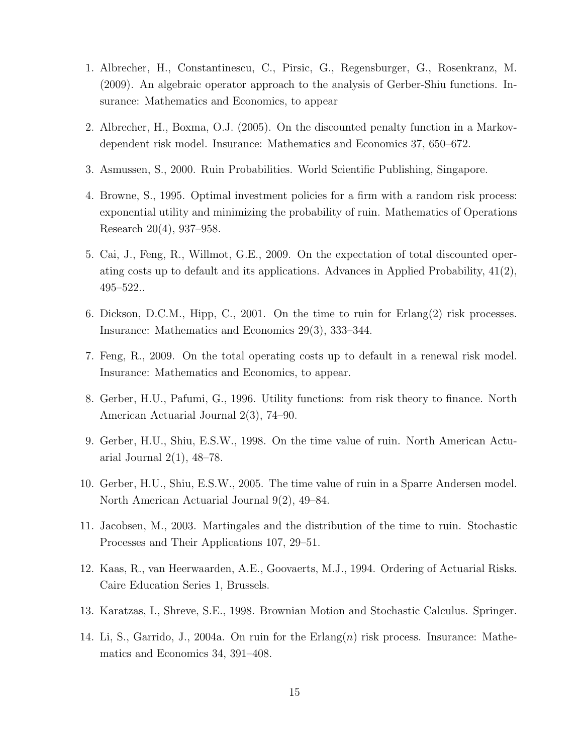- 1. Albrecher, H., Constantinescu, C., Pirsic, G., Regensburger, G., Rosenkranz, M. (2009). An algebraic operator approach to the analysis of Gerber-Shiu functions. Insurance: Mathematics and Economics, to appear
- 2. Albrecher, H., Boxma, O.J. (2005). On the discounted penalty function in a Markovdependent risk model. Insurance: Mathematics and Economics 37, 650–672.
- 3. Asmussen, S., 2000. Ruin Probabilities. World Scientific Publishing, Singapore.
- 4. Browne, S., 1995. Optimal investment policies for a firm with a random risk process: exponential utility and minimizing the probability of ruin. Mathematics of Operations Research 20(4), 937–958.
- 5. Cai, J., Feng, R., Willmot, G.E., 2009. On the expectation of total discounted operating costs up to default and its applications. Advances in Applied Probability, 41(2), 495–522..
- 6. Dickson, D.C.M., Hipp, C., 2001. On the time to ruin for Erlang(2) risk processes. Insurance: Mathematics and Economics 29(3), 333–344.
- 7. Feng, R., 2009. On the total operating costs up to default in a renewal risk model. Insurance: Mathematics and Economics, to appear.
- 8. Gerber, H.U., Pafumi, G., 1996. Utility functions: from risk theory to finance. North American Actuarial Journal 2(3), 74–90.
- 9. Gerber, H.U., Shiu, E.S.W., 1998. On the time value of ruin. North American Actuarial Journal  $2(1)$ ,  $48-78$ .
- 10. Gerber, H.U., Shiu, E.S.W., 2005. The time value of ruin in a Sparre Andersen model. North American Actuarial Journal 9(2), 49–84.
- 11. Jacobsen, M., 2003. Martingales and the distribution of the time to ruin. Stochastic Processes and Their Applications 107, 29–51.
- 12. Kaas, R., van Heerwaarden, A.E., Goovaerts, M.J., 1994. Ordering of Actuarial Risks. Caire Education Series 1, Brussels.
- 13. Karatzas, I., Shreve, S.E., 1998. Brownian Motion and Stochastic Calculus. Springer.
- 14. Li, S., Garrido, J., 2004a. On ruin for the  $Erlang(n)$  risk process. Insurance: Mathematics and Economics 34, 391–408.